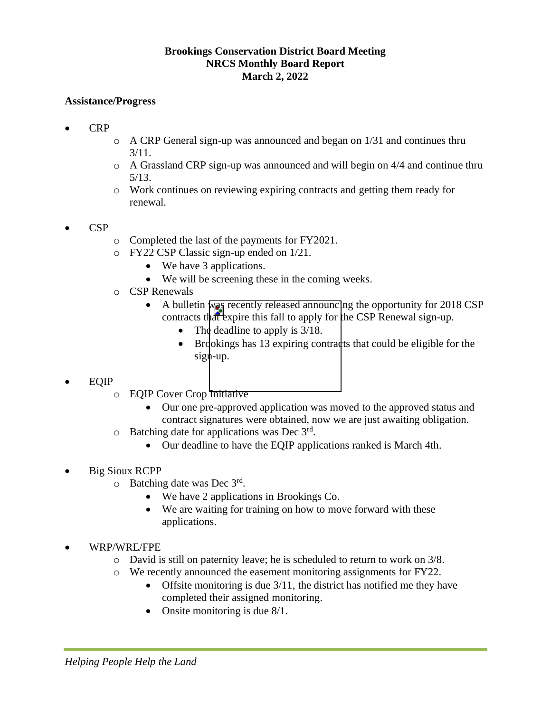## **Brookings Conservation District Board Meeting NRCS Monthly Board Report March 2, 2022**

## **Assistance/Progress**

- CRP
- $\circ$  A CRP General sign-up was announced and began on 1/31 and continues thru 3/11.
- $\circ$  A Grassland CRP sign-up was announced and will begin on 4/4 and continue thru 5/13.
- o Work continues on reviewing expiring contracts and getting them ready for renewal.
- CSP
- o Completed the last of the payments for FY2021.
- o FY22 CSP Classic sign-up ended on 1/21.
	- We have 3 applications.
	- We will be screening these in the coming weeks.
- o CSP Renewals
	- A bulletin was recently released announcing the opportunity for 2018 CSP contracts that expire this fall to apply for the CSP Renewal sign-up.
		- The deadline to apply is  $3/18$ .
		- Brookings has 13 expiring contracts that could be eligible for the  $sign-up.$
- EQIP
	- o EQIP Cover Crop Initiative
		- Our one pre-approved application was moved to the approved status and contract signatures were obtained, now we are just awaiting obligation.
	- $\circ$  Batching date for applications was Dec  $3<sup>rd</sup>$ .
		- Our deadline to have the EQIP applications ranked is March 4th.
- Big Sioux RCPP
	- $\circ$  Batching date was Dec 3rd.
		- We have 2 applications in Brookings Co.
		- We are waiting for training on how to move forward with these applications.
- WRP/WRE/FPE
	- o David is still on paternity leave; he is scheduled to return to work on 3/8.
	- o We recently announced the easement monitoring assignments for FY22.
		- Offsite monitoring is due 3/11, the district has notified me they have completed their assigned monitoring.
		- Onsite monitoring is due 8/1.